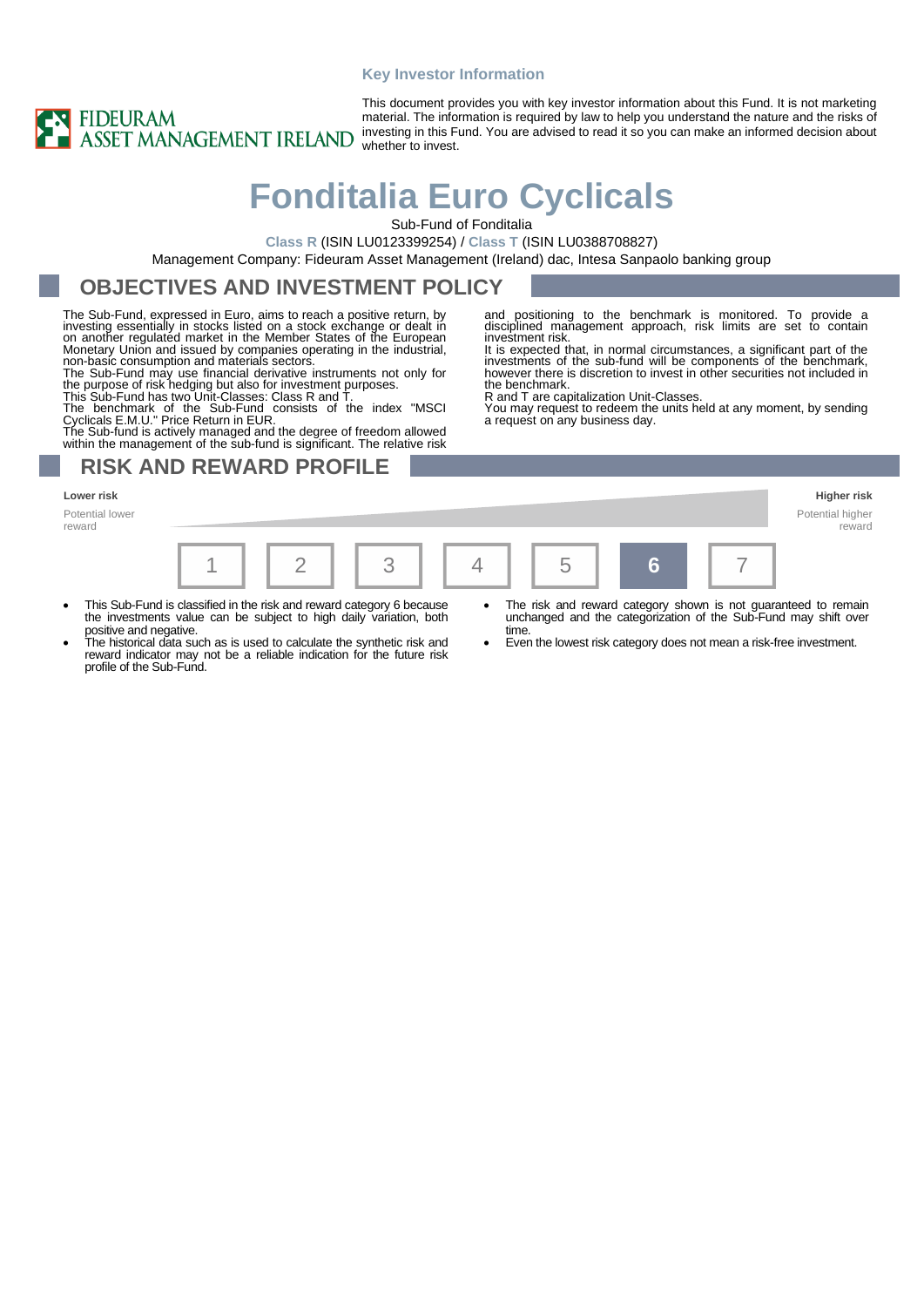### **Key Investor Information**



This document provides you with key investor information about this Fund. It is not marketing material. The information is required by law to help you understand the nature and the risks of investing in this Fund. You are advised to read it so you can make an informed decision about whether to invest.

# **Fonditalia Euro Cyclicals**

Sub-Fund of Fonditalia

**Class R** (ISIN LU0123399254) / **Class T** (ISIN LU0388708827)

Management Company: Fideuram Asset Management (Ireland) dac, Intesa Sanpaolo banking group

### **OBJECTIVES AND INVESTMENT POLICY**

The Sub-Fund, expressed in Euro, aims to reach a positive return, by investing essentially in stocks listed on a stock exchange or dealt in<br>on another regulated market in the Member States of the European<br>Monetary Union and issued by companies operating in the industrial,<br>non-basic consumpt

The Sub-Fund may use financial derivative instruments not only for the purpose of risk hedging but also for investment purposes. This Sub-Fund has two Unit-Classes: Class R and T.

The benchmark of the Sub-Fund consists of the index "MSCI<br>Cyclicals E.M.U." Price Return in EUR.<br>The Sub-fund is actively managed and the degree of freedom allowed<br>within the management of the sub-fund is significant. The

## **RISK AND REWARD PROFILE**

Potential lower reward



investment risk.

the benchmark.

R and T are capitalization Unit-Classes.

a request on any business day.

- This Sub-Fund is classified in the risk and reward category 6 because the investments value can be subject to high daily variation, both positive and negative.
- The historical data such as is used to calculate the synthetic risk and reward indicator may not be a reliable indication for the future risk profile of the Sub-Fund.
- The risk and reward category shown is not guaranteed to remain unchanged and the categorization of the Sub-Fund may shift over time.

reward

and positioning to the benchmark is monitored. To provide a disciplined management approach, risk limits are set to contain

It is expected that, in normal circumstances, a significant part of the investments of the sub-fund will be components of the benchmark, however there is discretion to invest in other securities not included in

You may request to redeem the units held at any moment, by sending

• Even the lowest risk category does not mean a risk-free investment.